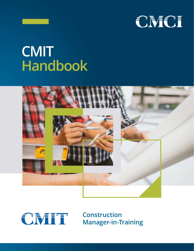

# **CMIT Handbook**





**Construction Manager-in-Training**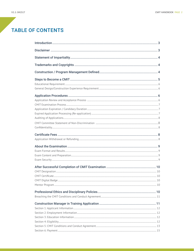## **TABLE OF CONTENTS**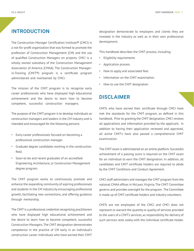#### <span id="page-2-0"></span>INTRODUCTION

The Construction Manager Certification Institute® (CMCI) is a not-for-profit organization that was formed to promote the profession of Construction Management (CM) and the use of qualified Construction Managers on projects. CMCI is a wholly owned subsidiary of the Construction Management Association of America (CMAA). The Construction Managerin-Training (CMIT®) program is a certificate program administered and maintained by CMCI.

The mission of the CMIT program is to recognize early career professionals who have displayed high educational achievement and the desire to learn how to become competent, successful construction managers.

The purpose of the CMIT program is to develop individuals as construction managers and leaders in the CM industry and is intended and encouraged for the following persons:

- Early career professionals focused on becoming a professional construction manager.
- Graduate degree candidates working in the construction field.
- Soon-to-be and recent graduates of an accredited Engineering, Architecture, or Construction Management degree program.

The CMIT program works to continuously promote and enhance the expanding community of aspiring professionals and students in the CM industry by encouraging professional growth, facilitating new connections, and offering guidance through mentorship.

The CMIT is a professional credential recognizing practitioners who have displayed high educational achievement and the desire to learn how to become competent, successful Construction Managers. The CMIT designation demonstrates competence in the practice of CM early in an individual's construction career. Individuals who have earned their CMIT

designation demonstrate to employers and clients they are invested in the industry as well as in their own professional development.

This handbook describes the CMIT process, including:

- Eligibility requirements
- Application process
- How to apply and associated fees
- Information on the CMIT examination
- How to use the CMIT designation

#### **DISCLAIMER**

CMITs who have earned their certificate through CMCI have met the standards for the CMIT program, as defined in this handbook. Prior to granting the CMIT designation, CMCI reviews all applications and information provided by the applicant. In addition to having their application reviewed and approved, all active CMIT's have also passed a comprehensive CMIT examination.

The CMIT exam is administered on an online platform. Successful achievement of a passing score is required on the CMIT exam for an individual to earn the CMIT designation. In addition, all candidates and CMIT certificate holders are required to abide by the CMIT Conditions and Conduct Agreement.

CMCI staff administers and manages the CMIT program from the national CMAA offices in McLean, Virginia. The CMIT Committee governs and provides oversight for the program. The Committee is made up of CMIT certificate holders and industry volunteers.

CMITs are not employees of the CMCI and CMCI does not represent or warrant the quantity or quality of services provided to the users of a CMIT's services, as responsibility for delivery of such services rests solely with the individual certificate holder.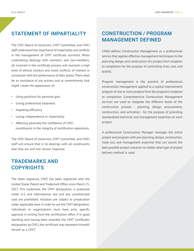#### <span id="page-3-0"></span>STATEMENT OF IMPARTIALITY

The CMCI Board of Governors, CMIT Committee, and CMCI staff understand the importance of impartiality and conflicts in the management of CMIT certificate activities. When undertaking dealings with members and non-members, all involved in the certificate process will maintain a high level of ethical conduct and avoid conflicts of interest in connection with the performance of their duties. There shall be an avoidance of any actions and or commitments that might create the appearance of:

- Using positions for personal gain
- Giving preferential treatment
- Impeding efficiency
- Losing independence or impartiality
- Affecting adversely the confidence of CMCI constituents in the integrity of certification operations.

The CMCI Board of Governors, CMIT Committee, and CMCI staff will ensure that in its dealings with all constituents that they are and will remain impartial.

#### TRADEMARKS AND **COPYRIGHTS**

The letter sequence, CMIT, has been registered with the United States Patent and Trademark Office since March 25, 2017. This trademark, the CMIT designation, is protected under U.S. and international law and any unauthorized uses are prohibited. Violators are subject to prosecution under applicable laws. In order to use the CMIT designation, individuals or organizations must have prior, specific approval in writing from the certification office. If in good standing and having been awarded the CMIT certificate/ designation by CMCI, the certificant may represent himself/ herself as a CMIT.

## CONSTRUCTION / PROGRAM MANAGEMENT DEFINED

CMAA defines Construction Management as a professional service that applies effective management techniques to the planning, design, and construction of a project from inception to completion for the purpose of controlling time, cost, and quality.

Program management is the practice of professional construction management applied to a capital improvement program of one or more projects from the program's inception to completion. Comprehensive Construction Management services are used to integrate the different facets of the construction process - planning, design, procurement, construction, and activation - for the purpose of providing standardized technical and management expertise on each project.

A professional Construction Manager manages the entire project and program with pre-planning, design, construction, close out, and management expertise that can assure the best possible project outcome no matter what type of project delivery method is used.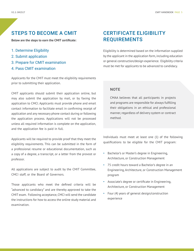#### <span id="page-4-0"></span>STEPS TO BECOME A CMIT

**Below are the steps to earn the CMIT certificate:**

- 1. Determine Eligibility
- 2. Submit application
- 3. Prepare for CMIT examination
- 4. Pass CMIT examination

Applicants for the CMIT must meet the eligibility requirements prior to submitting their application.

CMIT applicants should submit their application online, but may also submit the application by mail, or by faxing the application to CMCI. Applicants must provide phone and email contact information to facilitate email in confirming receipt of application and any necessary phone contact during or following the application process. Applications will not be processed unless all required information is complete on the application, and the application fee is paid in full.

Applicants will be required to provide proof that they meet the eligibility requirements. This can be submitted in the form of a professional resume or educational documentation, such as a copy of a degree, a transcript, or a letter from the provost or professor.

All applications are subject to audit by the CMIT Committee, CMCI staff, or the Board of Governors.

Those applicants who meet the defined criteria will be "advanced to candidacy" and are thereby approved to take the CMIT exam. Following acceptance, CMCI will send the candidate the instructions for how to access the online study material and examination.

## CERTIFICATE ELIGIBILITY REQUIREMENTS

Eligibility is determined based on the information supplied by the applicant in the application form, including education or general construction/design experience. Eligibility criteria must be met for applicants to be advanced to candidacy.

#### **NOTE**

CMAA believes that all participants in projects and programs are responsible for always fulfilling their obligations in an ethical and professional manner, regardless of delivery system or contract method.

Individuals must meet at least one (1) of the following qualifications to be eligible for the CMIT program:

- Bachelor's or Master's degree in Engineering, Architecture, or Construction Management
- 75 credit hours toward a Bachelor's degree in an Engineering, Architecture, or Construction Management program
- Associate's degree or certificate in Engineering, Architecture, or Construction Management
- Four (4) years of general design/construction experience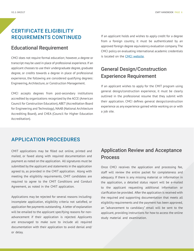## <span id="page-5-0"></span>CERTIFICATE ELIGIBILITY

#### Educational Requirement

CMCI does not require formal education; however, a degree or transcript may be used in place of professional experience. If an applicant chooses to use their undergraduate degree, graduate degree, or credits towards a degree in place of professional experience, the following are considered qualifying degrees: Engineering, Architecture, or Construction Management.

CMCI accepts degrees from post-secondary institutions accredited by organizations recognized by the ACCE (American Council for Construction Education), ABET (Accreditation Board for Engineering and Technology), NAAB (National Architecture Accrediting Board), and CHEA (Council for Higher Education Accreditation).

REQUIREMENTS CONTINUED If an applicant holds and wishes to apply credit for a degree from a foreign country, it must be authenticated by an approved foreign degree equivalency evaluation company. The CMCI policy on evaluating international academic credentials is located on the [CMCI website](https://www.cmaanet.org/sites/default/files/2018-04/InternationalDegree091815.pdf).

## General Design/Construction Experience Requirement

If an applicant wishes to apply for the CMIT program using general design/construction experience, it must be clearly outlined in the professional resume that they submit with their application. CMCI defines general design/construction experience as any experience gained while working on or with a job site.

#### APPLICATION PROCEDURES

CMIT applications may be filled out online, printed and mailed, or faxed along with required documentation and payment as noted on the application. All signatures must be submitted by the applicant and statements in the application agreed to, as provided in the CMIT application. Along with meeting the eligibility requirements, CMIT candidates are required to agree to the CMIT Conditions and Conduct Agreement, as noted in the CMIT application.

Applications may be rejected for several reasons including: incomplete application, eligibility criteria not satisfied, or application fee payments outstanding. A letter of explanation will be emailed to the applicant specifying reasons for nonadvancement if their application is rejected. Applicants are encouraged to make sure to include all required documentation with their application to avoid denial and/ or delay.

## Application Review and Acceptance Process

Once CMCI receives the application and processing fee, staff will review the entire packet for completeness and adequacy. If there is any missing material or information in the application, a detailed status report will be e-mailed to the applicant requesting additional information or clarification be provided. After the application is received with the required and supporting documentation that meets all eligibility requirements and the payment has been approved, an "advancement to candidacy" email will be sent to the applicant, providing instructions for how to access the online study material and examination.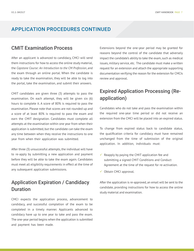#### <span id="page-6-0"></span>APPLICATION PROCEDURES CONTINUED

#### CMIT Examination Process

After an applicant is advanced to candidacy, CMCI will send them instructions for how to access the online study material, the *Capstone Course: An Introduction to the CM Profession*, and the exam through an online portal. When the candidate is ready to take the examination, they will be able to log into the portal, take the examination, and submit their answers.

CMIT candidates are given three (3) attempts to pass the examination. On each attempt, they will be given six (6) hours to complete it. A score of 80% is required to pass the examination. Please note that scores are not rounded up and a score of at least 80% is required to pass the exam and earn the CMIT designation. Candidates must complete all attempts at the examination within one year from when their application is submitted, but the candidate can take the exam any time between when they receive the instructions to one year from when their application was submitted.

After three (3) unsuccessful attempts, the individual will have to re-apply by submitting a new application and payment before they will be able to take the exam again. Candidates must meet all eligibility requirements in effect at the time of any subsequent application submissions.

## Application Expiration / Candidacy Duration

CMCI expects the application process, advancement to candidacy, and successful completion of the exam to be completed in a timely manner. Applicants advanced to candidacy have up to one year to take and pass the exam. The one-year period begins when the application is submitted and payment has been made.

Extensions beyond the one-year period may be granted for reasons beyond the control of the candidate that adversely impact the candidate's ability to take the exam, such as medical issues, military service, etc. The candidate must make a written request for an extension and attach the appropriate supporting documentation verifying the reason for the extension for CMCIs review and approval.

## Expired Application Processing (Reapplication)

Candidates who do not take and pass the examination within the required one-year time period or did not receive an extension from the CMCI will be placed into an expired status.

To change from expired status back to candidate status, the qualification criteria for candidacy must have remained unchanged from the time of submission of the original application. In addition, individuals must:

- Reapply by paying the CMIT application fee and submitting a signed CMIT Conditions and Conduct Agreement at the time of the request for re-activation.
- $\checkmark$  Obtain CMCI approval.

After the application is re-approved, an email will be sent to the candidate, providing instructions for how to access the online study material and examination.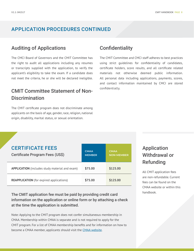#### <span id="page-7-0"></span>APPLICATION PROCEDURES CONTINUED

#### Auditing of Applications

The CMCI Board of Governors and the CMIT Committee has the right to audit all applications including any resumes or transcripts supplied with the application, to verify the applicant's eligibility to take the exam. If a candidate does not meet the criteria, he or she will be declared ineligible.

## CMIT Committee Statement of Non-**Discrimination**

The CMIT certificate program does not discriminate among applicants on the basis of age, gender, race, religion, national origin, disability, marital status, or sexual orientation.

#### **Confidentiality**

The CMIT Committee and CMCI staff adheres to best practices using strict guidelines for confidentiality of candidates, certificate holders, score results, and all certificate related materials not otherwise deemed public information. All personal data including applications, payments, scores, and contact information maintained by CMCI are stored confidentially.

#### CERTIFICATE FEES

| Certificate Program Fees (US\$)                       | <b>CMAA</b><br><b>MEMBER</b> | <b>CMAA</b><br><b>NON-MEMBER</b> |
|-------------------------------------------------------|------------------------------|----------------------------------|
| <b>APPLICATION</b> (includes study material and exam) | \$75.00                      | \$125.00                         |
| <b>REAPPLICATION</b> (for expired applications)       | \$75.00                      | \$125.00                         |

The CMIT application fee must be paid by providing credit card<br>
handbook. information on the application or online form or by attaching a check at the time the application is submitted.

Note: Applying to the CMIT program does not confer simultaneous membership in CMAA. Membership within CMAA is separate and is not required to apply for the CMIT program. For a list of CMAA membership benefits and for information on how to become a CMAA member, applicants should visit the [CMAA website](http://www.cmaanet.org).

## Application Withdrawal or Refunding

All CMIT application fees are non-refundable. Current fees can be found on the CMAA website or within this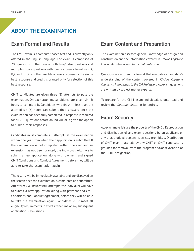## <span id="page-8-0"></span>ABOUT THE EXAMINATION

#### Exam Format and Results

The CMIT exam is a computer-based test and is currently only offered in the English language. The exam is comprised of 200 questions in the form of both True/False questions and multiple choice questions with four response alternatives (A, B, C and D). One of the possible answers represents the single best response and credit is granted only for selection of this best response.

CMIT candidates are given three (3) attempts to pass the examination. On each attempt, candidates are given six (6) hours to complete it. Candidates who finish in less than the allotted six (6) hours can submit their answers once the examination has been fully completed. A response is required for all 200 questions before an individual is given the option to submit their responses.

Candidates must complete all attempts at the examination within one year from when their application is submitted. If the examination is not completed within one year, and an extension has not been granted, the individual will have to submit a new application, along with payment and signed CMIT Conditions and Conduct Agreement, before they will be able to take the examination again.

The results will be immediately available and are displayed on the screen once the examination is completed and submitted. After three (3) unsuccessful attempts, the individual will have to submit a new application, along with payment and CMIT Conditions and Conduct Agreement, before they will be able to take the examination again. Candidates must meet all eligibility requirements in effect at the time of any subsequent application submissions.

#### Exam Content and Preparation

The examination assesses general knowledge of design and construction and the information covered in CMAA's *Capstone Course: An Introduction to the CM Profession*.

Questions are written in a format that evaluates a candidate's understanding of the content covered in CMAA's *Capstone Course: An Introduction to the CM Profession*. All exam questions are written by subject matter experts.

To prepare for the CMIT exam, individuals should read and review the *Capstone Course* in its entirety.

#### Exam Security

All exam materials are the property of the CMCI. Reproduction and distribution of any exam questions by an applicant or any unauthorized persons is strictly prohibited. Distribution of CMIT exam materials by any CMIT or CMIT candidate is grounds for removal from the program and/or revocation of the CMIT designation.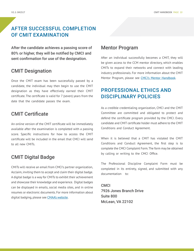## <span id="page-9-0"></span>AFTER SUCCESSFUL COMPLETION OF CMIT EXAMINATION

After the candidate achieves a passing score of 80% or higher, they will be notified by CMCI and sent confirmation for use of the designation.

#### CMIT Designation

Once the CMIT exam has been successfully passed by a candidate, the individual may then begin to use the CMIT designation as they have effectively earned their CMIT certificate. The certificate is valid for 7 (seven) years from the date that the candidate passes the exam.

## CMIT Certificate

An online version of the CMIT certificate will be immediately available after the examination is completed with a passing score. Specific instructions for how to access the CMIT certificate will be included in the email that CMCI will send to all new CMITs.

## CMIT Digital Badge

CMITs will receive an email from CMCI's partner organization, Acclaim, inviting them to accept and claim their digital badge. A digital badge is a way for CMITs to exhibit their achievement and showcase their knowledge and experience. Digital badges can be displayed in emails, social media sites, and in online resumes or electronic documents. For more information about digital badging, please see [CMAA's website](https://www.cmaanet.org/badging-faqs).

#### Mentor Program

After an individual successfully becomes a CMIT, they will be given access to the CCM mentor directory, which enables CMITs to expand their networks and connect with leading industry professionals. For more information about the CMIT Mentor Program, please see CMCI's Mentor Handbook.

## PROFESSIONAL ETHICS AND DISCIPLINARY POLICIES

As a credible credentialing organization, CMCI and the CMIT Committee are committed and obligated to protect and defend the certificate program provided by the CMCI. Every candidate and CMIT certificate holder must adhere to the CMIT Conditions and Conduct Agreement.

When it is believed that a CMIT has violated the CMIT Conditions and Conduct Agreement, the first step is to complete the CMCI Complaint Form. The form may be obtained by calling or writing to the CMCI Office.

The Professional Discipline Complaint Form must be completed in its entirety, signed, and submitted with any documentation to:

CMCI 7926 Jones Branch Drive Suite 800 McLean, VA 22102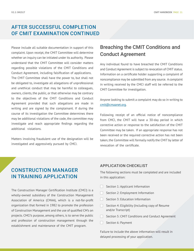## <span id="page-10-0"></span>AFTER SUCCESSFUL COMPLETION OF CMIT EXAMINATION CONTINUED

Please include all suitable documentation in support of this complaint. Upon receipt, the CMIT Committee will determine whether an inquiry can be initiated under its authority. Please understand that the CMIT Committee will consider matters regarding possible violations of the CMIT Conditions and Conduct Agreement, including falsification of applications. The CMIT Committee shall have the power to, but shall not be obligated to, investigate all allegations of unprofessional and unethical conduct that may be harmful to colleagues, owners, clients, the public, or that otherwise may be contrary to the objectives of the CMIT Conditions and Conduct Agreement provided that such allegations are made in writing and are signed by the complainant. If during the course of its investigation the Committee determines there may be additional violations of the code, the committee may investigate and reach appropriate findings regarding the additional violations.

Matters involving fraudulent use of the designation will be investigated and aggressively pursued by CMCI.

#### Breaching the CMIT Conditions and Conduct Agreement

Any individual found to have breached the CMIT Conditions and Conduct Agreement is subject to revocation of CMIT status. Information on a certificate holder supporting a complaint of noncompliance may be submitted from any source. A complaint in writing received by the CMCI staff will be referred to the CMIT Committee for investigation.

Anyone looking to submit a complaint may do so in writing to [cmit@cmaanet.org](mailto:cmit@cmaanet.org).

Following receipt of an official notice of noncompliance from CMCI, the CMIT will have a 30-day period in which corrective action or response to the satisfaction of the CMIT Committee may be taken. If an appropriate response has not been received or the required corrective action has not been taken, the Committee will formally notify the CMIT by letter of revocation of the certificate.

#### CONSTRUCTION MANAGER IN TRAINING APPLICATION

The Construction Manager Certification Institute (CMCI) is a wholly-owned subsidiary of the Construction Management Association of America (CMAA), which is a not-for-profit organization that formed in 1982 to promote the profession of Construction Management and the use of qualified CM's on projects. CMCI's purpose, among others, is to serve the public and profession of construction management through the establishment and maintenance of the CMIT program.

#### APPLICATION CHECKLIST

The following sections must be completed and are included in this application:

- Section 1: Applicant Information
- Section 2: Employment Information
- $\Box$  Section 3: Education Information
- $\Box$  Section 4: Eligibility (Including copy of Resume and/or Transcript)
- Section 5: CMIT Conditions and Conduct Agreement
- Section 6: Payment

Failure to include the above information will result in delayed processing of your application.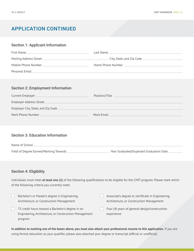#### <span id="page-11-0"></span>Section 1: Applicant Information

| First Name _             | Last Name                 |
|--------------------------|---------------------------|
| Mailing Address Street _ | City, State, and Zip Code |
| Mobile Phone Number      | Home Phone Number         |
| Personal Email _         |                           |

#### Section 2: Employment Information

| Current Employer                    | Position/Title |
|-------------------------------------|----------------|
| Employer Address Street             |                |
| Employer City, State, and Zip Code. |                |
| Work Phone Number                   | Work Email     |

#### Section 3: Education Information

| Name of School                           |                                         |
|------------------------------------------|-----------------------------------------|
|                                          |                                         |
| Field of Degree Earned/Working Towards _ | Year Graduated/Expected Graduation Date |

#### Section 4: Eligibility

program

Individuals must meet **at least one (1)** of the following qualifications to be eligible for the CMIT program. Please mark which of the following criteria you currently meet:

| Bachelor's or Master's degree in Engineering,         | Associate's degree or certificate in Engineering, |  |
|-------------------------------------------------------|---------------------------------------------------|--|
| Architecture, or Construction Management              | Architecture, or Construction Management          |  |
| 75 credit hours toward a Bachelor's degree in an      | Four (4) years of general design/construction     |  |
| Engineering, Architecture, or Construction Management | experience                                        |  |

**In addition to marking one of the boxes above, you must also attach your professional resume to this application.** If you are using formal education as your qualifier, please also attached your degree or transcript (official or unofficial).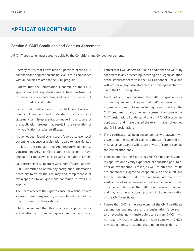#### <span id="page-12-0"></span>Section 5: CMIT Conditions and Conduct Agreement

All CMIT applicants must agree to abide by the Conditions and Conduct Agreement:

- I hereby certify that I have read all portions of the CMIT handbook and application and believe I am in compliance with all policies related to the CMIT program.
- I affirm that the information I submit on the CMIT application and any documents I have enclosed or forwarded, are complete, true, and correct to the best of my knowledge and belief.
- I attest that I will adhere to the CMIT Conditions and Conduct Agreement and understand that any false statement or misrepresentation made in the course of the application process may result in the revocation of my application and/or certificate.
- I have not been found by any court, federal, state, or local government agency, or registration board to have violated the law in the conduct of my Architecture/Engineering/ Construction (AEC) or CM-related practice or to have engaged in conduct which disregards the rights of others.
- I authorize the CMCI Board of Governors ("Board") and the CMIT Committee to obtain any background information necessary to verify the accuracy and completeness of my responses to all questions contained in my CMIT application.
- The Board reserves the right to cancel or withhold exam scores if there is any reason, in the sole judgment of the Board, to question their validity.
- I fully understand that this is only an application for examination and does not guarantee the certificate.
- I attest that I will adhere to CMCI's Conditions and will fully cooperate in any proceeding involving an alleged violation of the standards set forth in the CMIT Handbook. I have and will not make any false statements or misrepresentations using the CMIT designation.
- I will not and have not used the CMIT designation in a misleading manner. I agree that CMCI is permitted to impose sanctions up to and including my removal from the CMIT program if at any time I misrepresent the status of my CMIT designation. I understand that until CMCI accepts my application and I have passed the exam, I have not earned the CMIT designation.
- If my certificate has been suspended or withdrawn, I will discontinue the use of all claims to the certificate, will not mislead anyone, and I will return any certificates issued by the certification body.
- I understand that the Board and CMIT Committee may audit my application to verify experience or education prior to or after an examination is taken, as well as after the results are announced. I agree to cooperate with the audit and further understand that providing false information for verification of experience or education, or having others do so, is a violation of the CMIT Conditions and Conduct and may result in sanctions, up to and including revocation of the CMIT certificate.
- I agree that CMCI is the sole owner of the CMIT certificate designation, and my use of the designation is pursuant to a revocable, non-transferable license from CMCI. I will not take any actions which are inconsistent with CMCI's ownership rights, including challenging those rights.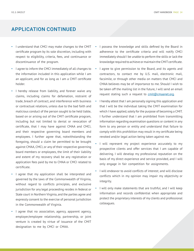- I understand that CMCI may make changes to the CMIT certificate program by its sole discretion, including with respect to eligibility, criteria, fees, and continuance or discontinuance of the program.
- I agree to inform the CMCI immediately of all changes to the information included in this application while I am an applicant, and for as long as I am a CMIT certificate holder.
- I hereby release from liability, and forever waive any claims, including claims for defamation, restraint of trade, breach of contract, and interference with business or contractual relations, unless due to the bad faith and malicious conduct of the person sought to be held liable, based on or arising out of the CMIT certificate program, including but not limited to denial or revocation of certificate, that I may have against CMAA and CMCI, and their respective governing board members and employees. I further agree that, notwithstanding the foregoing, should a claim be permitted to be brought against CMAA, CMCI, or any of their respective governing board members or employees, the limit of their liability and extent of my recovery shall be any registration or application fees paid by me to CMAA or CMCI related to certificate.
- I agree that my application shall be interpreted and governed by the laws of the Commonwealth of Virginia, without regard to conflicts principles, and exclusive jurisdiction for any legal proceeding resides in federal or State court in Northern Virginia, and the parties agree and expressly consent to the exercise of personal jurisdiction in the Commonwealth of Virginia.
- I agree that no association, agency, apparent agency, employer/employee relationship, partnership, or joint venture is created by virtue of issuance of the CMIT designation to me by CMCI or CMAA.
- I possess the knowledge and skills defined by the Board in adherence to the certificate criteria and will notify CMCI immediately should I be unable to perform the skills or lack the knowledge required to achieve or maintain the CMIT certificate.
- I agree to give permission to the Board, and its agents and contractors, to contact me by U.S. mail, electronic mail, facsimile, or through other media on matters that CMCI and CMAA believes may be of importance to me. Should I wish to be taken off the mailing list in the future, I will send an email request stating such a request to [cmit@cmaanet.org](mailto:cmit@cmaanet.org).
- I hereby attest that I am personally signing this application and that I will be the individual taking the CMIT examination for which I have applied, solely for the purpose of becoming a CMIT. I further understand that I am prohibited from transmitting information regarding examination questions or content in any form to any person or entity and understand that failure to comply with this prohibition may result in my certificate being revoked and/or legal action being taken against me.
- I will represent my project experience accurately to my prospective clients and offer services that I am capable of delivering. I will develop my professional reputation on the basis of my direct experience and service provided, and I will only engage in fair competition for assignments.
- I will endeavor to avoid conflicts of interest; and will disclose conflicts which in my opinion may impair my objectivity or integrity.
- I will only make statements that are truthful, and I will keep information and records confidential when appropriate and protect the proprietary interests of my clients and professional colleagues.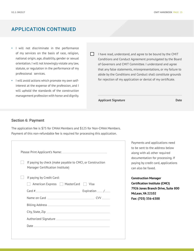- <span id="page-14-0"></span>• I will not discriminate in the performance of my services on the basis of race, religion, national origin, age, disability, gender or sexual orientation. I will not knowingly violate any law, statute, or regulation in the performance of my professional services.
- I will avoid actions which promote my own selfinterest at the expense of the profession, and I will uphold the standards of the construction management profession with honor and dignity.
- $\Box$  I have read, understand, and agree to be bound by the CMIT Conditions and Conduct Agreement promulgated by the Board of Governors and CMIT Committee. I understand and agree that any false statements, misrepresentations, or my failure to abide by the Conditions and Conduct shall constitute grounds for rejection of my application or denial of my certificate.

**Applicant Signature Date**

#### Section 6: Payment

The application fee is \$75 for CMAA Members and \$125 for Non-CMAA Members. Payment of this non-refundable fee is required for processing this application.

| If paying by check (make payable to CMCI, or Construction<br>Manager Certification Institute) |  |
|-----------------------------------------------------------------------------------------------|--|
| If paying by Credit Card:                                                                     |  |
| American Express   MasterCard   Visa                                                          |  |
| Card #                                                                                        |  |
|                                                                                               |  |
|                                                                                               |  |
|                                                                                               |  |
|                                                                                               |  |
|                                                                                               |  |

Payments and applications need to be sent to the address below along with all other required documentation for processing. If paying by credit card, applications can also be faxed.

**Construction Manager Certification Institute (CMCI) 7926 Jones Branch Drive, Suite 800 McLean, VA 22102 Fax: (703) 356-6388**